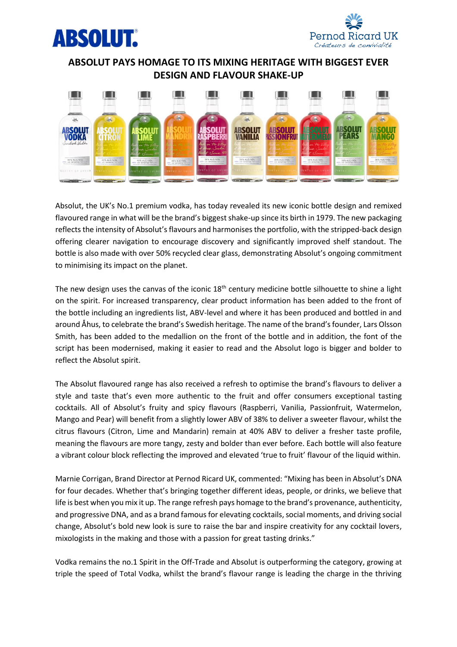



## **ABSOLUT PAYS HOMAGE TO ITS MIXING HERITAGE WITH BIGGEST EVER DESIGN AND FLAVOUR SHAKE-UP**



Absolut, the UK's No.1 premium vodka, has today revealed its new iconic bottle design and remixed flavoured range in what will be the brand's biggest shake-up since its birth in 1979. The new packaging reflects the intensity of Absolut's flavours and harmonises the portfolio, with the stripped-back design offering clearer navigation to encourage discovery and significantly improved shelf standout. The bottle is also made with over 50% recycled clear glass, demonstrating Absolut's ongoing commitment to minimising its impact on the planet.

The new design uses the canvas of the iconic  $18<sup>th</sup>$  century medicine bottle silhouette to shine a light on the spirit. For increased transparency, clear product information has been added to the front of the bottle including an ingredients list, ABV-level and where it has been produced and bottled in and around Åhus, to celebrate the brand's Swedish heritage. The name of the brand's founder, Lars Olsson Smith, has been added to the medallion on the front of the bottle and in addition, the font of the script has been modernised, making it easier to read and the Absolut logo is bigger and bolder to reflect the Absolut spirit.

The Absolut flavoured range has also received a refresh to optimise the brand's flavours to deliver a style and taste that's even more authentic to the fruit and offer consumers exceptional tasting cocktails. All of Absolut's fruity and spicy flavours (Raspberri, Vanilia, Passionfruit, Watermelon, Mango and Pear) will benefit from a slightly lower ABV of 38% to deliver a sweeter flavour, whilst the citrus flavours (Citron, Lime and Mandarin) remain at 40% ABV to deliver a fresher taste profile, meaning the flavours are more tangy, zesty and bolder than ever before. Each bottle will also feature a vibrant colour block reflecting the improved and elevated 'true to fruit' flavour of the liquid within.

Marnie Corrigan, Brand Director at Pernod Ricard UK, commented: "Mixing has been in Absolut's DNA for four decades. Whether that's bringing together different ideas, people, or drinks, we believe that life is best when you mix it up. The range refresh pays homage to the brand's provenance, authenticity, and progressive DNA, and as a brand famous for elevating cocktails, social moments, and driving social change, Absolut's bold new look is sure to raise the bar and inspire creativity for any cocktail lovers, mixologists in the making and those with a passion for great tasting drinks."

Vodka remains the no.1 Spirit in the Off-Trade and Absolut is outperforming the category, growing at triple the speed of Total Vodka, whilst the brand's flavour range is leading the charge in the thriving